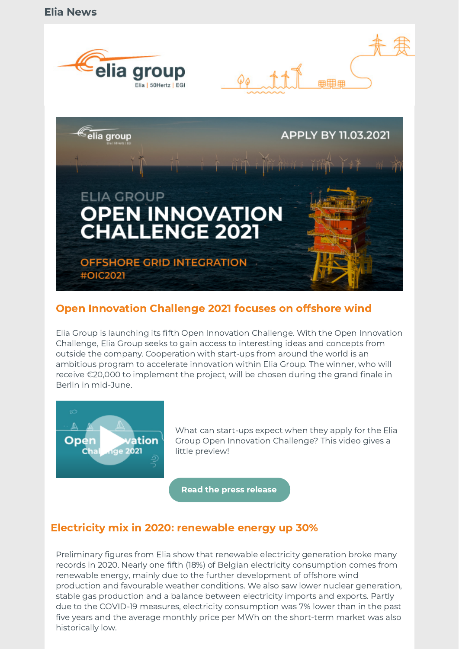



## Open Innovation Challenge 2021 focuses on offshore wind

Elia Group is launching its fifth Open Innovation Challenge. With the Open Innovation Challenge, Elia Group seeks to gain access to interesting ideas and concepts from outside the company. Cooperation with start-ups from around the world is an ambitious program to accelerate innovation within Elia Group. The winner, who will receive €20,000 to implement the project, will be chosen during the grand finale in Berlin in mid-June.



What can start-ups expect when they apply for the Elia Group Open Innovation Challenge? This video gives a little preview!

[Read the press release](https://www.eliagroup.eu/en/news/press-releases/2021/01/20210114_elia-groups-fifth-open-innovation-challenge-focuses-on-innovative-solutions-for-offshore)

## Electricity mix in 2020: renewable energy up 30%

Preliminary figures from Elia show that renewable electricity generation broke many records in 2020. Nearly one fifth (18%) of Belgian electricity consumption comes from renewable energy, mainly due to the further development of offshore wind production and favourable weather conditions. We also saw lower nuclear generation, stable gas production and a balance between electricity imports and exports. Partly due to the COVID-19 measures, electricity consumption was 7% lower than in the past five years and the average monthly price per MWh on the short-term market was also historically low.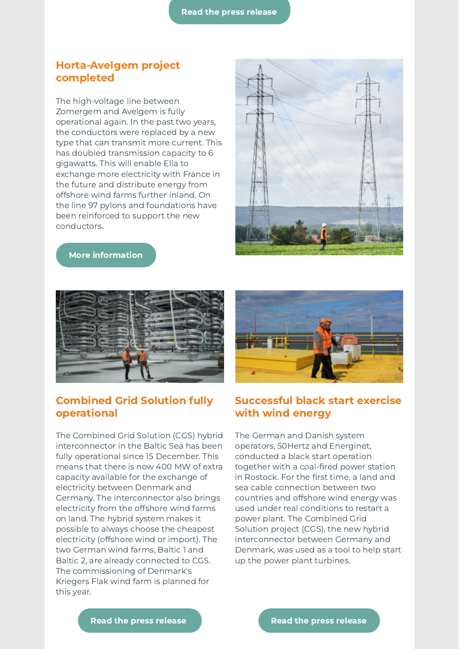#### Horta-Avelgem project completed

The high-voltage line between Zomergem and Avelgem is fully operational again. In the past two years, the conductors were replaced by a new type that can transmit more current. This has doubled transmission capacity to 6 gigawatts. This will enable Elia to exchange more electricity with France in the future and distribute energy from offshore wind farms further inland. On the line 97 pylons and foundations have been reinforced to support the new conductors.



#### [More information](https://www.elia.be/en/infrastructure-and-projects/infrastructure-projects/horta-avelgem)



### Combined Grid Solution fully operational

The Combined Grid Solution (CGS) hybrid interconnector in the Baltic Sea has been fully operational since 15 December. This means that there is now 400 MW of extra capacity available for the exchange of electricity between Denmark and Germany. The interconnector also brings electricity from the offshore wind farms on land. The hybrid system makes it possible to always choose the cheapest electricity (offshore wind or import). The two German wind farms, Baltic 1 and Baltic 2, are already connected to CGS. The commissioning of Denmark's Kriegers Flak wind farm is planned for this year.



### Successful black start exercise with wind energy

The German and Danish system operators, 50Hertz and Energinet, conducted a black start operation together with a coal-fired power station in Rostock. For the first time, a land and sea cable connection between two countries and offshore wind energy was used under real conditions to restart a power plant. The Combined Grid Solution project (CGS), the new hybrid interconnector between Germany and Denmark, was used as a tool to help start up the power plant turbines.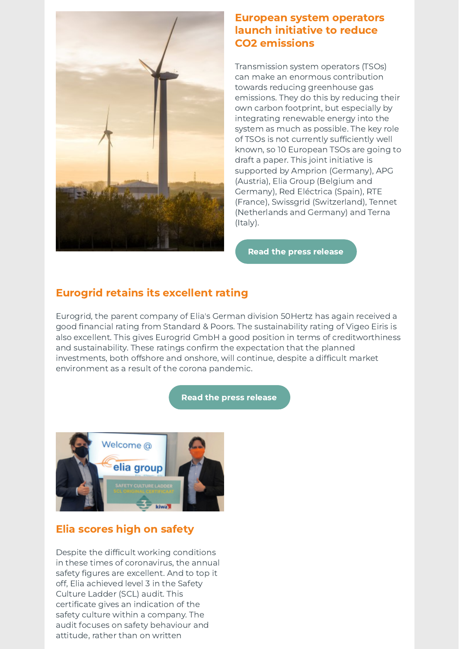

### European system operators launch initiative to reduce CO2 emissions

Transmission system operators (TSOs) can make an enormous contribution towards reducing greenhouse gas emissions. They do this by reducing their own carbon footprint, but especially by integrating renewable energy into the system as much as possible. The key role of TSOs is not currently sufficiently well known, so 10 European TSOs are going to draft a paper. This joint initiative is supported by Amprion (Germany), APG (Austria), Elia Group (Belgium and Germany), Red Eléctrica (Spain), RTE (France), Swissgrid (Switzerland), Tennet (Netherlands and Germany) and Terna (Italy).

[Read the press release](https://www.eliagroup.eu/en/news/press-releases/2020/12/20201218-10-leading-transmission-system-operators-launch-joint-initiative-to-reduce-ghg-emissions)

# Eurogrid retains its excellent rating

Eurogrid, the parent company of Elia's German division 50Hertz has again received a good financial rating from Standard & Poors. The sustainability rating of Vigeo Eiris is also excellent. This gives Eurogrid GmbH a good position in terms of creditworthiness and sustainability. These ratings confirm the expectation that the planned investments, both offshore and onshore, will continue, despite a difficult market environment as a result of the corona pandemic.

#### [Read the press release](https://www.50hertz.com/en/News/FullarticleNewsof50Hertz/id/7299/good-position-in-credit-and-sustainability-ratings)



# Elia scores high on safety

Despite the difficult working conditions in these times of coronavirus, the annual safety figures are excellent. And to top it off, Elia achieved level 3 in the Safety Culture Ladder (SCL) audit. This certificate gives an indication of the safety culture within a company. The audit focuses on safety behaviour and attitude, rather than on written